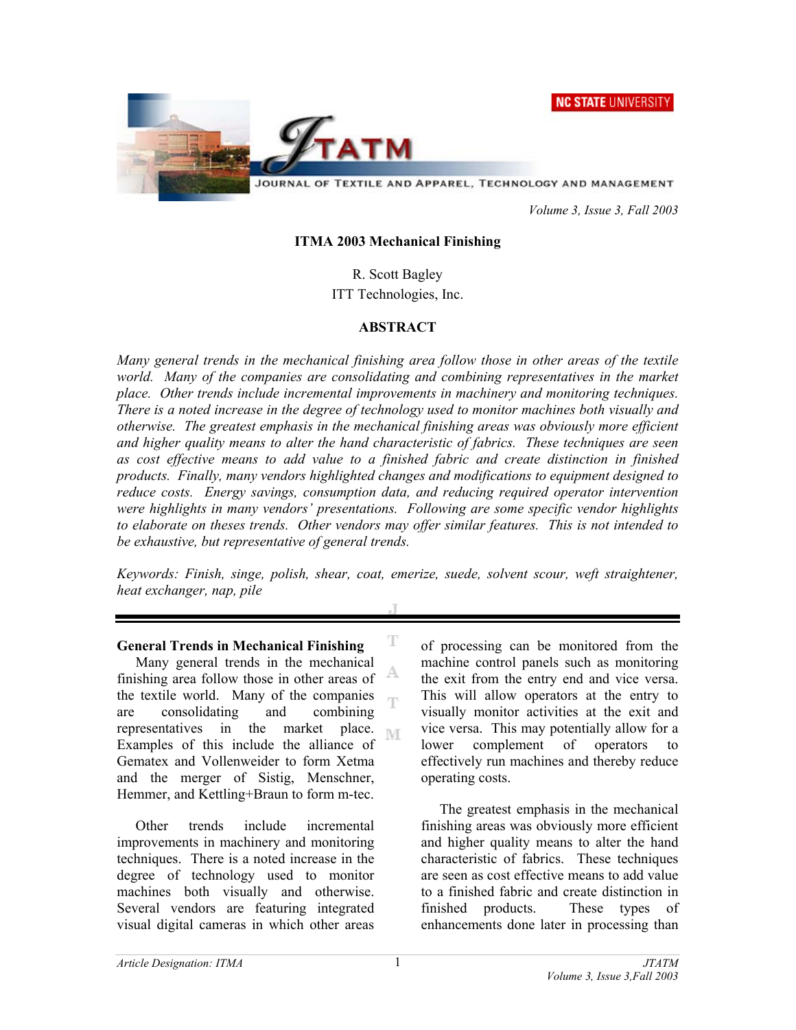**NC STATE UNIVERSITY** 



JOURNAL OF TEXTILE AND APPAREL, TECHNOLOGY AND MANAGEMENT

 *Volume 3, Issue 3, Fall 2003* 

#### **ITMA 2003 Mechanical Finishing**

R. Scott Bagley

ITT Technologies, Inc.

## **ABSTRACT**

*Many general trends in the mechanical finishing area follow those in other areas of the textile*  world. Many of the companies are consolidating and combining representatives in the market *place. Other trends include incremental improvements in machinery and monitoring techniques. There is a noted increase in the degree of technology used to monitor machines both visually and otherwise. The greatest emphasis in the mechanical finishing areas was obviously more efficient and higher quality means to alter the hand characteristic of fabrics. These techniques are seen as cost effective means to add value to a finished fabric and create distinction in finished products. Finally, many vendors highlighted changes and modifications to equipment designed to reduce costs. Energy savings, consumption data, and reducing required operator intervention were highlights in many vendors' presentations. Following are some specific vendor highlights to elaborate on theses trends. Other vendors may offer similar features. This is not intended to be exhaustive, but representative of general trends.*

*Keywords: Finish, singe, polish, shear, coat, emerize, suede, solvent scour, weft straightener, heat exchanger, nap, pile* 

T

A ηn

### **General Trends in Mechanical Finishing**

Many general trends in the mechanical finishing area follow those in other areas of the textile world. Many of the companies are consolidating and combining representatives in the market place. M Examples of this include the alliance of Gematex and Vollenweider to form Xetma and the merger of Sistig, Menschner, Hemmer, and Kettling+Braun to form m-tec.

Other trends include incremental improvements in machinery and monitoring techniques. There is a noted increase in the degree of technology used to monitor machines both visually and otherwise. Several vendors are featuring integrated visual digital cameras in which other areas

of processing can be monitored from the machine control panels such as monitoring the exit from the entry end and vice versa. This will allow operators at the entry to visually monitor activities at the exit and vice versa. This may potentially allow for a lower complement of operators to effectively run machines and thereby reduce operating costs.

The greatest emphasis in the mechanical finishing areas was obviously more efficient and higher quality means to alter the hand characteristic of fabrics. These techniques are seen as cost effective means to add value to a finished fabric and create distinction in finished products. These types of enhancements done later in processing than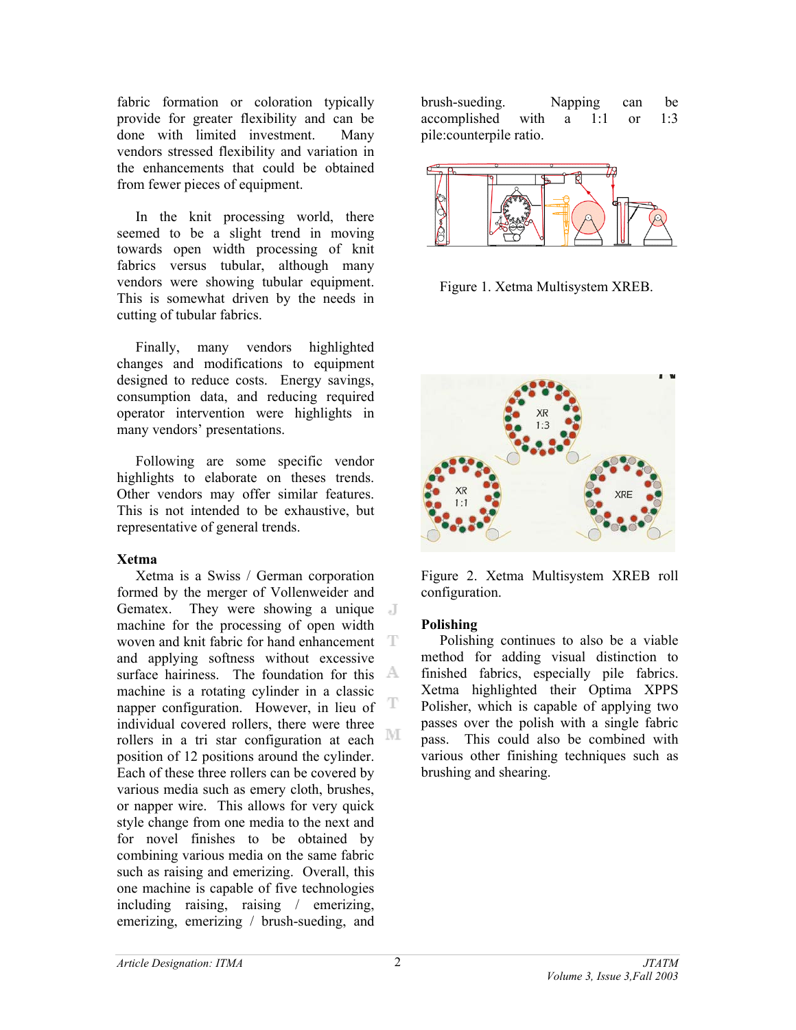fabric formation or coloration typically provide for greater flexibility and can be done with limited investment. Many vendors stressed flexibility and variation in the enhancements that could be obtained from fewer pieces of equipment.

In the knit processing world, there seemed to be a slight trend in moving towards open width processing of knit fabrics versus tubular, although many vendors were showing tubular equipment. This is somewhat driven by the needs in cutting of tubular fabrics.

Finally, many vendors highlighted changes and modifications to equipment designed to reduce costs. Energy savings, consumption data, and reducing required operator intervention were highlights in many vendors' presentations.

Following are some specific vendor highlights to elaborate on theses trends. Other vendors may offer similar features. This is not intended to be exhaustive, but representative of general trends.

### **Xetma**

Xetma is a Swiss / German corporation formed by the merger of Vollenweider and Gematex. They were showing a unique machine for the processing of open width woven and knit fabric for hand enhancement T and applying softness without excessive surface hairiness. The foundation for this  $\mathbb{A}$ machine is a rotating cylinder in a classic T napper configuration. However, in lieu of individual covered rollers, there were three M rollers in a tri star configuration at each position of 12 positions around the cylinder. Each of these three rollers can be covered by various media such as emery cloth, brushes, or napper wire. This allows for very quick style change from one media to the next and for novel finishes to be obtained by combining various media on the same fabric such as raising and emerizing. Overall, this one machine is capable of five technologies including raising, raising / emerizing, emerizing, emerizing / brush-sueding, and

brush-sueding. Napping can be accomplished with a 1:1 or 1:3 pile:counterpile ratio.



Figure 1. Xetma Multisystem XREB.



Figure 2. Xetma Multisystem XREB roll configuration.

# **Polishing**

Polishing continues to also be a viable method for adding visual distinction to finished fabrics, especially pile fabrics. Xetma highlighted their Optima XPPS Polisher, which is capable of applying two passes over the polish with a single fabric pass. This could also be combined with various other finishing techniques such as brushing and shearing.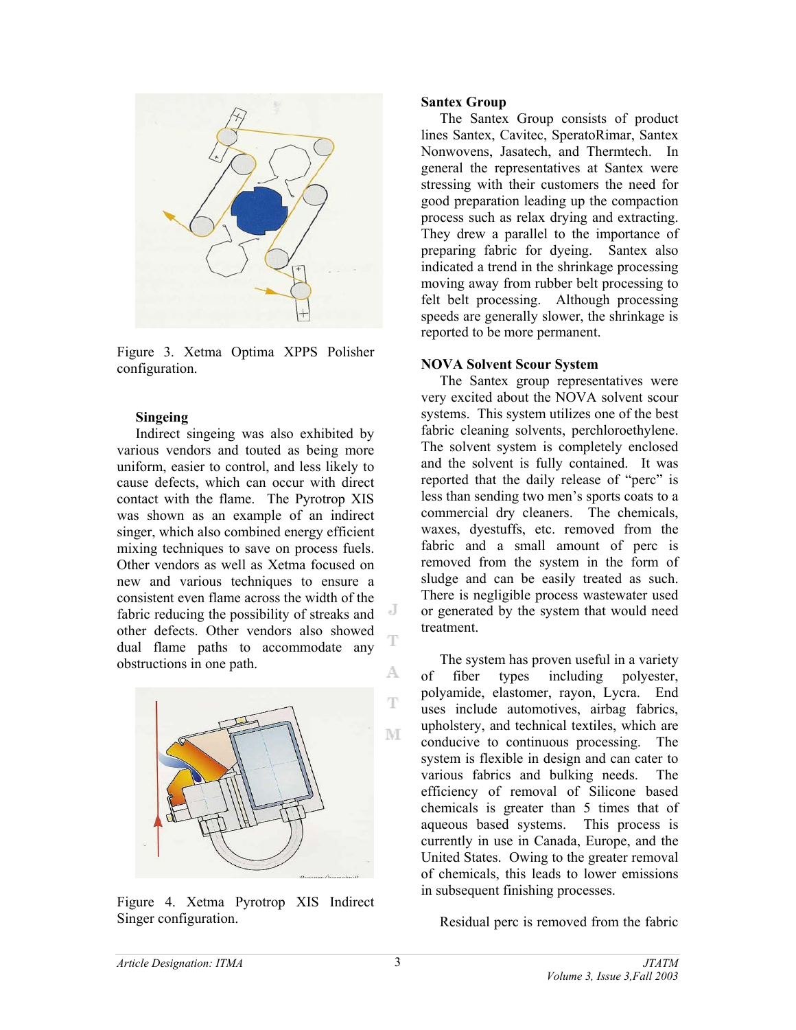

Figure 3. Xetma Optima XPPS Polisher configuration.

#### **Singeing**

Indirect singeing was also exhibited by various vendors and touted as being more uniform, easier to control, and less likely to cause defects, which can occur with direct contact with the flame. The Pyrotrop XIS was shown as an example of an indirect singer, which also combined energy efficient mixing techniques to save on process fuels. Other vendors as well as Xetma focused on new and various techniques to ensure a consistent even flame across the width of the fabric reducing the possibility of streaks and other defects. Other vendors also showed dual flame paths to accommodate any obstructions in one path.



Figure 4. Xetma Pyrotrop XIS Indirect Singer configuration.

#### **Santex Group**

The Santex Group consists of product lines Santex, Cavitec, SperatoRimar, Santex Nonwovens, Jasatech, and Thermtech. In general the representatives at Santex were stressing with their customers the need for good preparation leading up the compaction process such as relax drying and extracting. They drew a parallel to the importance of preparing fabric for dyeing. Santex also indicated a trend in the shrinkage processing moving away from rubber belt processing to felt belt processing. Although processing speeds are generally slower, the shrinkage is reported to be more permanent.

#### **NOVA Solvent Scour System**

The Santex group representatives were very excited about the NOVA solvent scour systems. This system utilizes one of the best fabric cleaning solvents, perchloroethylene. The solvent system is completely enclosed and the solvent is fully contained. It was reported that the daily release of "perc" is less than sending two men's sports coats to a commercial dry cleaners. The chemicals, waxes, dyestuffs, etc. removed from the fabric and a small amount of perc is removed from the system in the form of sludge and can be easily treated as such. There is negligible process wastewater used or generated by the system that would need treatment.

The system has proven useful in a variety of fiber types including polyester, polyamide, elastomer, rayon, Lycra. End uses include automotives, airbag fabrics, upholstery, and technical textiles, which are conducive to continuous processing. The system is flexible in design and can cater to various fabrics and bulking needs. The efficiency of removal of Silicone based chemicals is greater than 5 times that of aqueous based systems. This process is currently in use in Canada, Europe, and the United States. Owing to the greater removal of chemicals, this leads to lower emissions in subsequent finishing processes.

Residual perc is removed from the fabric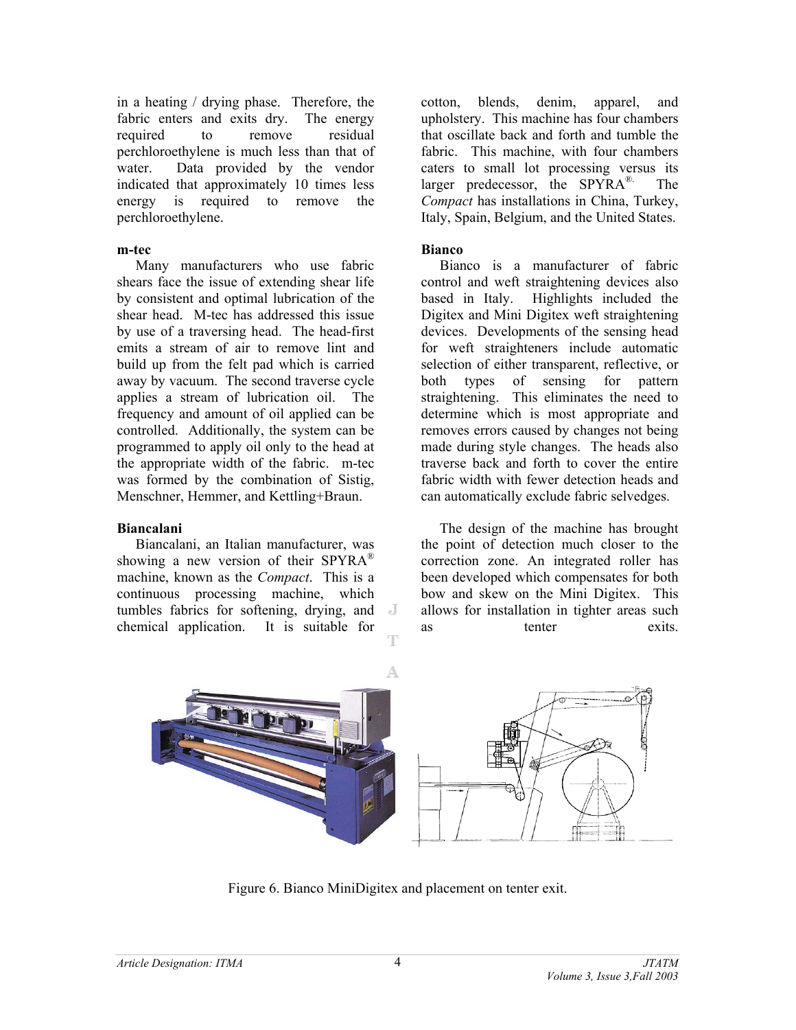in a heating / drying phase. Therefore, the fabric enters and exits dry. The energy required to remove residual perchloroethylene is much less than that of water. Data provided by the vendor indicated that approximately 10 times less energy is required to remove the perchloroethylene.

#### **m-tec**

Many manufacturers who use fabric shears face the issue of extending shear life by consistent and optimal lubrication of the shear head. M-tec has addressed this issue by use of a traversing head. The head-first emits a stream of air to remove lint and build up from the felt pad which is carried away by vacuum. The second traverse cycle applies a stream of lubrication oil. The frequency and amount of oil applied can be controlled. Additionally, the system can be programmed to apply oil only to the head at the appropriate width of the fabric. m-tec was formed by the combination of Sistig, Menschner, Hemmer, and Kettling+Braun.

### **Biancalani**

Biancalani, an Italian manufacturer, was showing a new version of their SPYRA<sup>®</sup> machine, known as the *Compact*. This is a continuous processing machine, which tumbles fabrics for softening, drying, and chemical application. It is suitable for

cotton, blends, denim, apparel, and upholstery. This machine has four chambers that oscillate back and forth and tumble the fabric. This machine, with four chambers caters to small lot processing versus its larger predecessor, the  $SPYRA^{\otimes}$ . The *Compact* has installations in China, Turkey, Italy, Spain, Belgium, and the United States.

## **Bianco**

Bianco is a manufacturer of fabric control and weft straightening devices also based in Italy. Highlights included the Digitex and Mini Digitex weft straightening devices. Developments of the sensing head for weft straighteners include automatic selection of either transparent, reflective, or both types of sensing for pattern straightening. This eliminates the need to determine which is most appropriate and removes errors caused by changes not being made during style changes. The heads also traverse back and forth to cover the entire fabric width with fewer detection heads and can automatically exclude fabric selvedges.

The design of the machine has brought the point of detection much closer to the correction zone. An integrated roller has been developed which compensates for both bow and skew on the Mini Digitex. This allows for installation in tighter areas such as tenter exits.



Figure 6. Bianco MiniDigitex and placement on tenter exit.

4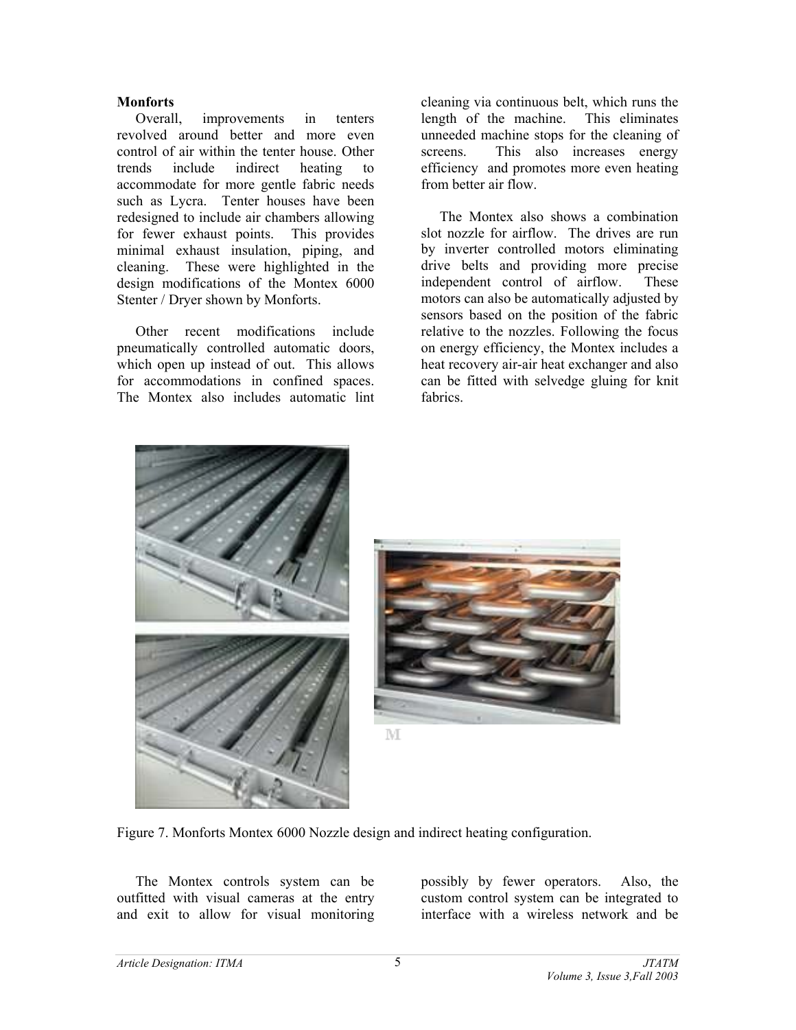### **Monforts**

Overall, improvements in tenters revolved around better and more even control of air within the tenter house. Other trends include indirect heating to accommodate for more gentle fabric needs such as Lycra. Tenter houses have been redesigned to include air chambers allowing for fewer exhaust points. This provides minimal exhaust insulation, piping, and cleaning. These were highlighted in the design modifications of the Montex 6000 Stenter / Dryer shown by Monforts.

Other recent modifications include pneumatically controlled automatic doors, which open up instead of out. This allows for accommodations in confined spaces. The Montex also includes automatic lint

cleaning via continuous belt, which runs the length of the machine. This eliminates unneeded machine stops for the cleaning of screens. This also increases energy efficiency and promotes more even heating from better air flow.

The Montex also shows a combination slot nozzle for airflow. The drives are run by inverter controlled motors eliminating drive belts and providing more precise independent control of airflow. These motors can also be automatically adjusted by sensors based on the position of the fabric relative to the nozzles. Following the focus on energy efficiency, the Montex includes a heat recovery air-air heat exchanger and also can be fitted with selvedge gluing for knit fabrics.





M

Figure 7. Monforts Montex 6000 Nozzle design and indirect heating configuration.

The Montex controls system can be outfitted with visual cameras at the entry and exit to allow for visual monitoring possibly by fewer operators. Also, the custom control system can be integrated to interface with a wireless network and be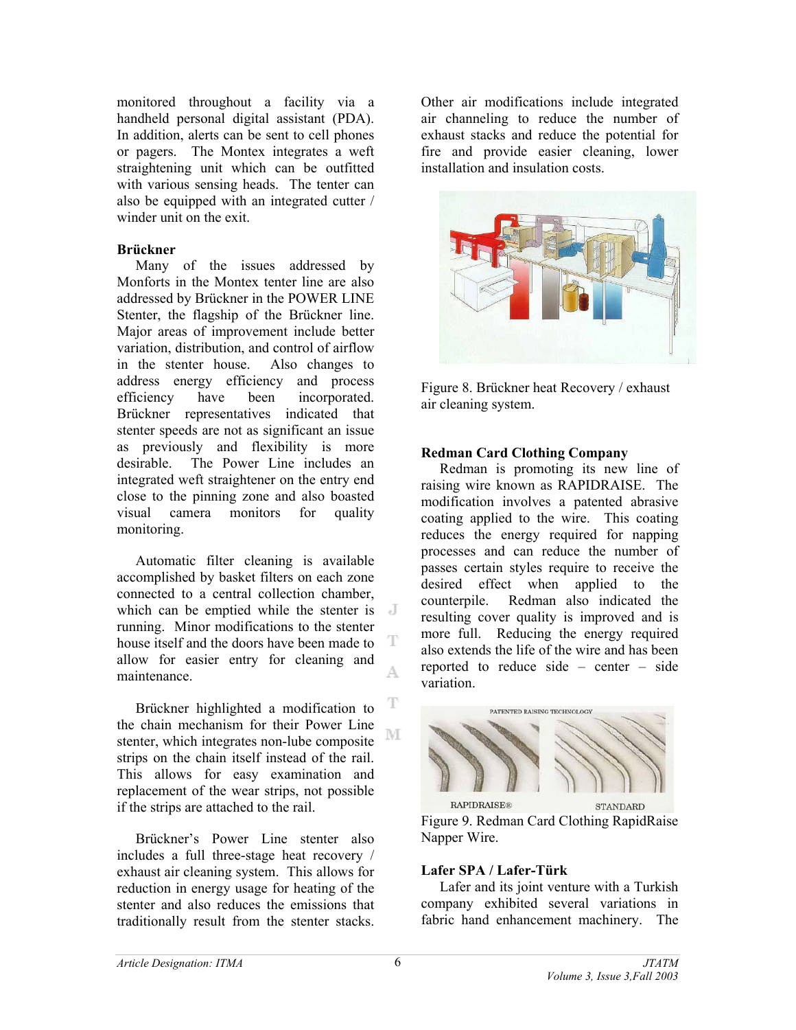monitored throughout a facility via a handheld personal digital assistant (PDA). In addition, alerts can be sent to cell phones or pagers. The Montex integrates a weft straightening unit which can be outfitted with various sensing heads. The tenter can also be equipped with an integrated cutter / winder unit on the exit.

## **Brückner**

Many of the issues addressed by Monforts in the Montex tenter line are also addressed by Brückner in the POWER LINE Stenter, the flagship of the Brückner line. Major areas of improvement include better variation, distribution, and control of airflow in the stenter house. Also changes to address energy efficiency and process efficiency have been incorporated. Brückner representatives indicated that stenter speeds are not as significant an issue as previously and flexibility is more desirable. The Power Line includes an integrated weft straightener on the entry end close to the pinning zone and also boasted visual camera monitors for quality monitoring.

Automatic filter cleaning is available accomplished by basket filters on each zone connected to a central collection chamber, which can be emptied while the stenter is  $\blacksquare$ running. Minor modifications to the stenter T house itself and the doors have been made to allow for easier entry for cleaning and maintenance.

Brückner highlighted a modification to the chain mechanism for their Power Line NΓ stenter, which integrates non-lube composite strips on the chain itself instead of the rail. This allows for easy examination and replacement of the wear strips, not possible if the strips are attached to the rail.

Brückner's Power Line stenter also includes a full three-stage heat recovery / exhaust air cleaning system. This allows for reduction in energy usage for heating of the stenter and also reduces the emissions that traditionally result from the stenter stacks.

Other air modifications include integrated air channeling to reduce the number of exhaust stacks and reduce the potential for fire and provide easier cleaning, lower installation and insulation costs.



Figure 8. Brückner heat Recovery / exhaust air cleaning system.

## **Redman Card Clothing Company**

Redman is promoting its new line of raising wire known as RAPIDRAISE. The modification involves a patented abrasive coating applied to the wire. This coating reduces the energy required for napping processes and can reduce the number of passes certain styles require to receive the desired effect when applied to the counterpile. Redman also indicated the resulting cover quality is improved and is more full. Reducing the energy required also extends the life of the wire and has been reported to reduce side – center – side variation.



Figure 9. Redman Card Clothing RapidRaise Napper Wire.

# **Lafer SPA / Lafer-Türk**

Lafer and its joint venture with a Turkish company exhibited several variations in fabric hand enhancement machinery. The

A.

T